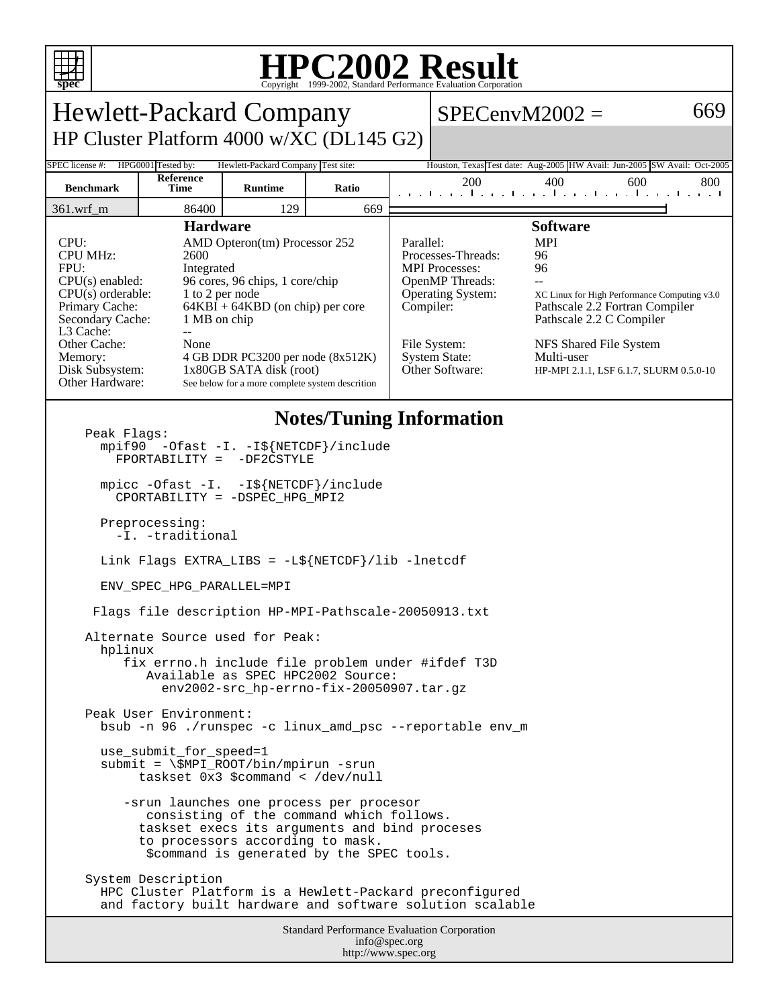

## **HPC2002 Result**

| ppec<br>Copyright @1999-2002, Dianuaru I criormance Evanuation Corporation                                                                                                                                                                                                                                                                                                                                                                                                                                                       |                   |                |       |                        |                                                                                                                                                       |                                                                                                                                                                                                                                                              |     |     |
|----------------------------------------------------------------------------------------------------------------------------------------------------------------------------------------------------------------------------------------------------------------------------------------------------------------------------------------------------------------------------------------------------------------------------------------------------------------------------------------------------------------------------------|-------------------|----------------|-------|------------------------|-------------------------------------------------------------------------------------------------------------------------------------------------------|--------------------------------------------------------------------------------------------------------------------------------------------------------------------------------------------------------------------------------------------------------------|-----|-----|
| <b>Hewlett-Packard Company</b>                                                                                                                                                                                                                                                                                                                                                                                                                                                                                                   |                   |                |       |                        | $SPECenvM2002 =$                                                                                                                                      |                                                                                                                                                                                                                                                              |     |     |
| HP Cluster Platform 4000 w/XC (DL145 G2)                                                                                                                                                                                                                                                                                                                                                                                                                                                                                         |                   |                |       |                        |                                                                                                                                                       |                                                                                                                                                                                                                                                              |     |     |
| HPG0001 Tested by:<br>Hewlett-Packard Company Test site:<br>SPEC license #:<br>Houston, Texas Test date: Aug-2005 HW Avail: Jun-2005 SW Avail: Oct-2005                                                                                                                                                                                                                                                                                                                                                                          |                   |                |       |                        |                                                                                                                                                       |                                                                                                                                                                                                                                                              |     |     |
| <b>Benchmark</b>                                                                                                                                                                                                                                                                                                                                                                                                                                                                                                                 | Reference<br>Time | <b>Runtime</b> | Ratio |                        | 200<br>المتمر المتمر المتمر المتمر المتمر المتمر المتمر                                                                                               | 400                                                                                                                                                                                                                                                          | 600 | 800 |
| $361.wrf$ m                                                                                                                                                                                                                                                                                                                                                                                                                                                                                                                      | 86400             | 129            | 669   |                        |                                                                                                                                                       |                                                                                                                                                                                                                                                              |     |     |
| <b>Hardware</b><br>CPU:<br>AMD Opteron(tm) Processor 252<br><b>CPU MHz:</b><br>2600<br>FPU:<br>Integrated<br>96 cores, 96 chips, 1 core/chip<br>CPU(s) enabled:<br>$CPU(s)$ orderable:<br>1 to 2 per node<br>Primary Cache:<br>$64KBI + 64KBD$ (on chip) per core<br>1 MB on chip<br>Secondary Cache:<br>L3 Cache:<br>$\overline{a}$<br>Other Cache:<br>None<br>Memory:<br>4 GB DDR PC3200 per node (8x512K)<br>Disk Subsystem:<br>1x80GB SATA disk (root)<br>Other Hardware:<br>See below for a more complete system descrition |                   |                |       | Parallel:<br>Compiler: | Processes-Threads:<br><b>MPI</b> Processes:<br><b>OpenMP</b> Threads:<br>Operating System:<br>File System:<br><b>System State:</b><br>Other Software: | <b>Software</b><br><b>MPI</b><br>96<br>96<br>$\overline{a}$<br>XC Linux for High Performance Computing v3.0<br>Pathscale 2.2 Fortran Compiler<br>Pathscale 2.2 C Compiler<br>NFS Shared File System<br>Multi-user<br>HP-MPI 2.1.1, LSF 6.1.7, SLURM 0.5.0-10 |     |     |
| <b>Notes/Tuning Information</b><br>Peak Flags:<br>mpif90 -Ofast -I. -I\${NETCDF}/include<br>FPORTABILITY = -DF2CSTYLE<br>mpicc -Ofast -I. -I\${NETCDF}/include<br>CPORTABILITY = -DSPEC_HPG_MPI2                                                                                                                                                                                                                                                                                                                                 |                   |                |       |                        |                                                                                                                                                       |                                                                                                                                                                                                                                                              |     |     |
| Preprocessing:<br>-I. -traditional                                                                                                                                                                                                                                                                                                                                                                                                                                                                                               |                   |                |       |                        |                                                                                                                                                       |                                                                                                                                                                                                                                                              |     |     |
| Link Flags EXTRA_LIBS = $-L\$ {NETCDF}/lib -lnetcdf                                                                                                                                                                                                                                                                                                                                                                                                                                                                              |                   |                |       |                        |                                                                                                                                                       |                                                                                                                                                                                                                                                              |     |     |
| ENV SPEC HPG PARALLEL=MPI                                                                                                                                                                                                                                                                                                                                                                                                                                                                                                        |                   |                |       |                        |                                                                                                                                                       |                                                                                                                                                                                                                                                              |     |     |
| Flags file description HP-MPI-Pathscale-20050913.txt                                                                                                                                                                                                                                                                                                                                                                                                                                                                             |                   |                |       |                        |                                                                                                                                                       |                                                                                                                                                                                                                                                              |     |     |
| Alternate Source used for Peak:<br>hplinux<br>fix errno.h include file problem under #ifdef T3D<br>Available as SPEC HPC2002 Source:<br>env2002-src_hp-errno-fix-20050907.tar.gz                                                                                                                                                                                                                                                                                                                                                 |                   |                |       |                        |                                                                                                                                                       |                                                                                                                                                                                                                                                              |     |     |
| Peak User Environment:<br>bsub -n 96 ./runspec -c linux_amd_psc --reportable env_m                                                                                                                                                                                                                                                                                                                                                                                                                                               |                   |                |       |                        |                                                                                                                                                       |                                                                                                                                                                                                                                                              |     |     |
| use_submit_for_speed=1<br>$submit = \SMPI_ROOT/bin/mpirun -srun$<br>taskset $0x3$ \$command < /dev/null                                                                                                                                                                                                                                                                                                                                                                                                                          |                   |                |       |                        |                                                                                                                                                       |                                                                                                                                                                                                                                                              |     |     |
| -srun launches one process per procesor<br>consisting of the command which follows.<br>taskset execs its arguments and bind proceses<br>to processors according to mask.<br>\$command is generated by the SPEC tools.                                                                                                                                                                                                                                                                                                            |                   |                |       |                        |                                                                                                                                                       |                                                                                                                                                                                                                                                              |     |     |
| System Description<br>HPC Cluster Platform is a Hewlett-Packard preconfigured<br>and factory built hardware and software solution scalable                                                                                                                                                                                                                                                                                                                                                                                       |                   |                |       |                        |                                                                                                                                                       |                                                                                                                                                                                                                                                              |     |     |
| <b>Standard Performance Evaluation Corporation</b><br>info@spec.org                                                                                                                                                                                                                                                                                                                                                                                                                                                              |                   |                |       |                        |                                                                                                                                                       |                                                                                                                                                                                                                                                              |     |     |

http://www.spec.org